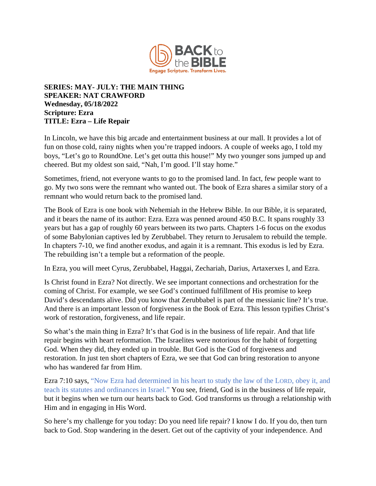

## **SERIES: MAY- JULY: THE MAIN THING SPEAKER: NAT CRAWFORD Wednesday, 05/18/2022 Scripture: Ezra TITLE: Ezra – Life Repair**

In Lincoln, we have this big arcade and entertainment business at our mall. It provides a lot of fun on those cold, rainy nights when you're trapped indoors. A couple of weeks ago, I told my boys, "Let's go to RoundOne. Let's get outta this house!" My two younger sons jumped up and cheered. But my oldest son said, "Nah, I'm good. I'll stay home."

Sometimes, friend, not everyone wants to go to the promised land. In fact, few people want to go. My two sons were the remnant who wanted out. The book of Ezra shares a similar story of a remnant who would return back to the promised land.

The Book of Ezra is one book with Nehemiah in the Hebrew Bible. In our Bible, it is separated, and it bears the name of its author: Ezra. Ezra was penned around 450 B.C. It spans roughly 33 years but has a gap of roughly 60 years between its two parts. Chapters 1-6 focus on the exodus of some Babylonian captives led by Zerubbabel. They return to Jerusalem to rebuild the temple. In chapters 7-10, we find another exodus, and again it is a remnant. This exodus is led by Ezra. The rebuilding isn't a temple but a reformation of the people.

In Ezra, you will meet Cyrus, Zerubbabel, Haggai, Zechariah, Darius, Artaxerxes I, and Ezra.

Is Christ found in Ezra? Not directly. We see important connections and orchestration for the coming of Christ. For example, we see God's continued fulfillment of His promise to keep David's descendants alive. Did you know that Zerubbabel is part of the messianic line? It's true. And there is an important lesson of forgiveness in the Book of Ezra. This lesson typifies Christ's work of restoration, forgiveness, and life repair.

So what's the main thing in Ezra? It's that God is in the business of life repair. And that life repair begins with heart reformation. The Israelites were notorious for the habit of forgetting God. When they did, they ended up in trouble. But God is the God of forgiveness and restoration. In just ten short chapters of Ezra, we see that God can bring restoration to anyone who has wandered far from Him.

Ezra 7:10 says, "Now Ezra had determined in his heart to study the law of the LORD, obey it, and teach its statutes and ordinances in Israel." You see, friend, God is in the business of life repair, but it begins when we turn our hearts back to God. God transforms us through a relationship with Him and in engaging in His Word.

So here's my challenge for you today: Do you need life repair? I know I do. If you do, then turn back to God. Stop wandering in the desert. Get out of the captivity of your independence. And